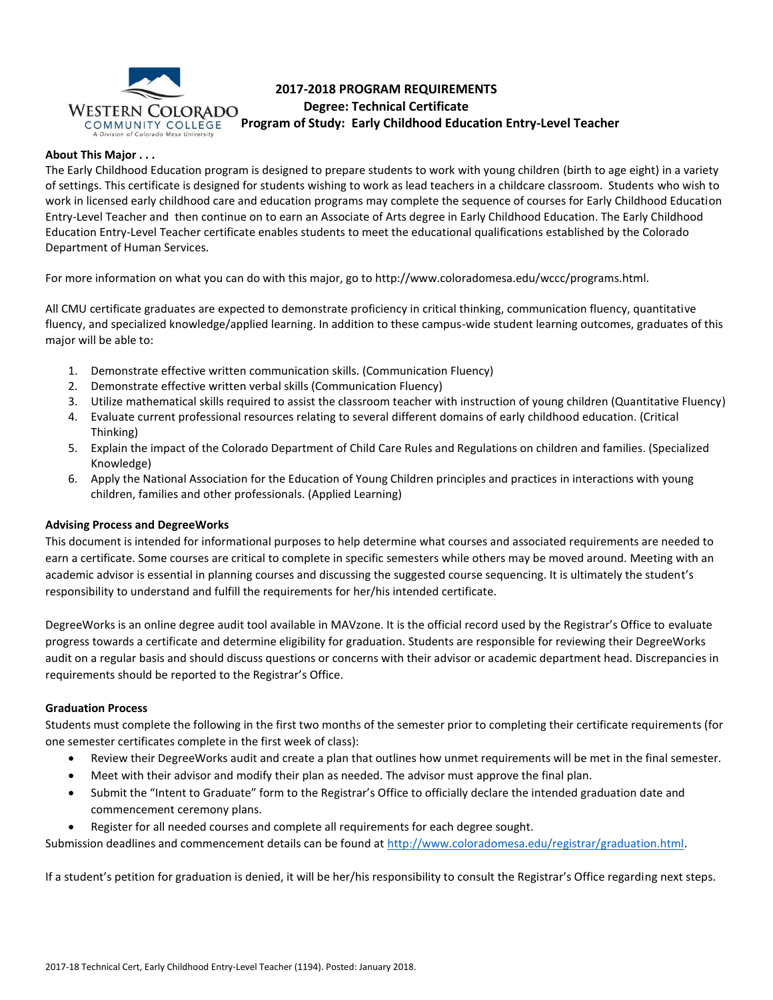

# **2017-2018 PROGRAM REQUIREMENTS Degree: Technical Certificate WESTERN COLORADO**<br>COMMUNITY COLLEGE Program of Study: Early Childhood Education Entry-Level Teacher

## **About This Major . . .**

The Early Childhood Education program is designed to prepare students to work with young children (birth to age eight) in a variety of settings. This certificate is designed for students wishing to work as lead teachers in a childcare classroom. Students who wish to work in licensed early childhood care and education programs may complete the sequence of courses for Early Childhood Education Entry-Level Teacher and then continue on to earn an Associate of Arts degree in Early Childhood Education. The Early Childhood Education Entry-Level Teacher certificate enables students to meet the educational qualifications established by the Colorado Department of Human Services.

For more information on what you can do with this major, go to http://www.coloradomesa.edu/wccc/programs.html.

All CMU certificate graduates are expected to demonstrate proficiency in critical thinking, communication fluency, quantitative fluency, and specialized knowledge/applied learning. In addition to these campus-wide student learning outcomes, graduates of this major will be able to:

- 1. Demonstrate effective written communication skills. (Communication Fluency)
- 2. Demonstrate effective written verbal skills (Communication Fluency)
- 3. Utilize mathematical skills required to assist the classroom teacher with instruction of young children (Quantitative Fluency)
- 4. Evaluate current professional resources relating to several different domains of early childhood education. (Critical Thinking)
- 5. Explain the impact of the Colorado Department of Child Care Rules and Regulations on children and families. (Specialized Knowledge)
- 6. Apply the National Association for the Education of Young Children principles and practices in interactions with young children, families and other professionals. (Applied Learning)

### **Advising Process and DegreeWorks**

This document is intended for informational purposes to help determine what courses and associated requirements are needed to earn a certificate. Some courses are critical to complete in specific semesters while others may be moved around. Meeting with an academic advisor is essential in planning courses and discussing the suggested course sequencing. It is ultimately the student's responsibility to understand and fulfill the requirements for her/his intended certificate.

DegreeWorks is an online degree audit tool available in MAVzone. It is the official record used by the Registrar's Office to evaluate progress towards a certificate and determine eligibility for graduation. Students are responsible for reviewing their DegreeWorks audit on a regular basis and should discuss questions or concerns with their advisor or academic department head. Discrepancies in requirements should be reported to the Registrar's Office.

### **Graduation Process**

Students must complete the following in the first two months of the semester prior to completing their certificate requirements (for one semester certificates complete in the first week of class):

- Review their DegreeWorks audit and create a plan that outlines how unmet requirements will be met in the final semester.
- Meet with their advisor and modify their plan as needed. The advisor must approve the final plan.
- Submit the "Intent to Graduate" form to the Registrar's Office to officially declare the intended graduation date and commencement ceremony plans.
- Register for all needed courses and complete all requirements for each degree sought.

Submission deadlines and commencement details can be found at [http://www.coloradomesa.edu/registrar/graduation.html.](http://www.coloradomesa.edu/registrar/graduation.html)

If a student's petition for graduation is denied, it will be her/his responsibility to consult the Registrar's Office regarding next steps.